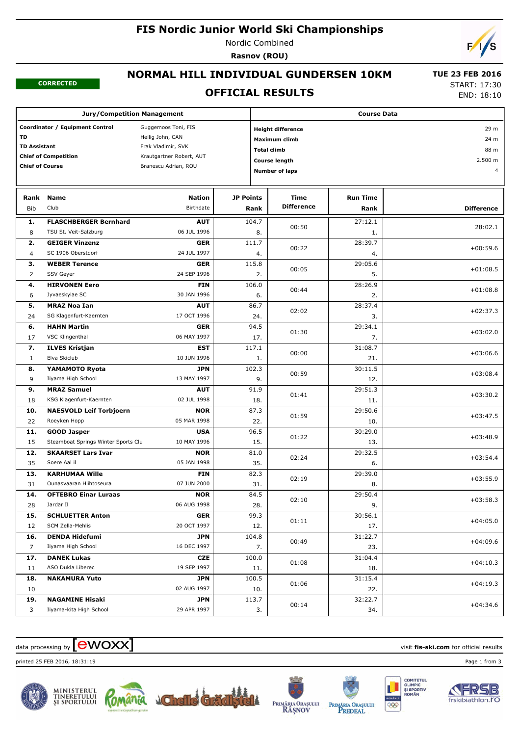### **FIS Nordic Junior World Ski Championships**

Nordic Combined

**Rasnov (ROU)**



#### **CORRECTED**

## **NORMAL HILL INDIVIDUAL GUNDERSEN 10KM**

 **TUE 23 FEB 2016** START: 17:30

### **OFFICIAL RESULTS**

END: 18:10

| <b>Jury/Competition Management</b>                     |                                     |                          |                  |                            | <b>Course Data</b> |                 |                           |  |  |  |
|--------------------------------------------------------|-------------------------------------|--------------------------|------------------|----------------------------|--------------------|-----------------|---------------------------|--|--|--|
| Guggemoos Toni, FIS<br>Coordinator / Equipment Control |                                     |                          |                  | <b>Height difference</b>   | 29 m               |                 |                           |  |  |  |
| <b>TD</b><br>Heilig John, CAN                          |                                     |                          |                  |                            | Maximum climb      | 24 m            |                           |  |  |  |
| <b>TD Assistant</b><br>Frak Vladimir, SVK              |                                     |                          |                  | <b>Total climb</b><br>88 m |                    |                 |                           |  |  |  |
|                                                        | <b>Chief of Competition</b>         | Krautgartner Robert, AUT |                  | Course length              |                    |                 |                           |  |  |  |
| <b>Chief of Course</b>                                 |                                     | Branescu Adrian, ROU     |                  |                            |                    |                 | 2.500 m<br>$\overline{4}$ |  |  |  |
|                                                        |                                     |                          |                  | <b>Number of laps</b>      |                    |                 |                           |  |  |  |
| Rank                                                   | <b>Name</b>                         | <b>Nation</b>            | <b>JP Points</b> |                            | <b>Time</b>        |                 |                           |  |  |  |
|                                                        | Club                                |                          |                  |                            | <b>Difference</b>  | <b>Run Time</b> |                           |  |  |  |
| <b>Bib</b>                                             |                                     | Birthdate                |                  | Rank                       |                    | Rank            | <b>Difference</b>         |  |  |  |
| 1.                                                     | <b>FLASCHBERGER Bernhard</b>        | <b>AUT</b>               |                  | 104.7                      | 00:50              | 27:12.1         | 28:02.1                   |  |  |  |
| 8                                                      | TSU St. Veit-Salzburg               | 06 JUL 1996              |                  | 8.                         |                    | 1.              |                           |  |  |  |
| 2.                                                     | <b>GEIGER Vinzenz</b>               | GER                      |                  | 111.7                      | 00:22              | 28:39.7         | $+00:59.6$                |  |  |  |
| $\overline{4}$                                         | SC 1906 Oberstdorf                  | 24 JUL 1997              |                  | 4.                         |                    | 4.              |                           |  |  |  |
| з.                                                     | <b>WEBER Terence</b>                | GER                      |                  | 115.8                      | 00:05              | 29:05.6         | $+01:08.5$                |  |  |  |
| 2                                                      | SSV Geyer                           | 24 SEP 1996              |                  | 2.                         |                    | 5.              |                           |  |  |  |
| 4.                                                     | <b>HIRVONEN Eero</b>                | <b>FIN</b>               |                  | 106.0                      |                    | 28:26.9         |                           |  |  |  |
| 6                                                      | Jyvaeskylae SC                      | 30 JAN 1996              |                  | 6.                         | 00:44              | 2.              | $+01:08.8$                |  |  |  |
| 5.                                                     | <b>MRAZ Noa Ian</b>                 | <b>AUT</b>               |                  | 86.7                       |                    | 28:37.4         |                           |  |  |  |
| 24                                                     | SG Klagenfurt-Kaernten              | 17 OCT 1996              |                  | 24.                        | 02:02              | 3.              | $+02:37.3$                |  |  |  |
| 6.                                                     | <b>HAHN Martin</b>                  | GER                      |                  | 94.5                       |                    | 29:34.1         |                           |  |  |  |
| 17                                                     | VSC Klingenthal                     | 06 MAY 1997              |                  | 17.                        | 01:30              | 7.              | $+03:02.0$                |  |  |  |
| 7.                                                     | <b>ILVES Kristjan</b>               | <b>EST</b>               |                  | 117.1                      |                    | 31:08.7         |                           |  |  |  |
| $\mathbf{1}$                                           | Elva Skiclub                        | 10 JUN 1996              |                  | 1.                         | 00:00              | 21.             | $+03:06.6$                |  |  |  |
| 8.                                                     | YAMAMOTO Ryota                      | JPN                      |                  | 102.3                      |                    | 30:11.5         |                           |  |  |  |
| 9                                                      | Iiyama High School                  | 13 MAY 1997              |                  | 9.                         | 00:59              | 12.             | $+03:08.4$                |  |  |  |
| 9.                                                     | <b>MRAZ Samuel</b>                  | <b>AUT</b>               |                  | 91.9                       |                    | 29:51.3         |                           |  |  |  |
| 18                                                     | KSG Klagenfurt-Kaernten             | 02 JUL 1998              |                  | 18.                        | 01:41              | 11.             | $+03:30.2$                |  |  |  |
| 10.                                                    | <b>NAESVOLD Leif Torbjoern</b>      | <b>NOR</b>               |                  | 87.3                       |                    | 29:50.6         |                           |  |  |  |
| 22                                                     | Roeyken Hopp                        | 05 MAR 1998              |                  | 22.                        | 01:59              | 10.             | $+03:47.5$                |  |  |  |
| 11.                                                    | <b>GOOD Jasper</b>                  | <b>USA</b>               |                  | 96.5                       |                    | 30:29.0         |                           |  |  |  |
| 15                                                     | Steamboat Springs Winter Sports Clu | 10 MAY 1996              |                  | 15.                        | 01:22              | 13.             | $+03:48.9$                |  |  |  |
| 12.                                                    | <b>SKAARSET Lars Ivar</b>           | <b>NOR</b>               |                  | 81.0                       |                    | 29:32.5         |                           |  |  |  |
| 35                                                     | Soere Aal il                        | 05 JAN 1998              |                  | 35.                        | 02:24              | 6.              | $+03:54.4$                |  |  |  |
| 13.                                                    | <b>KARHUMAA Wille</b>               | <b>FIN</b>               |                  | 82.3                       |                    | 29:39.0         |                           |  |  |  |
| 31                                                     | Ounasvaaran Hiihtoseura             | 07 JUN 2000              |                  | 31.                        | 02:19              | 8.              | $+03:55.9$                |  |  |  |
| 14.                                                    | <b>OFTEBRO Einar Luraas</b>         | <b>NOR</b>               |                  | 84.5                       |                    | 29:50.4         |                           |  |  |  |
| 28                                                     | Jardar II                           | 06 AUG 1998              |                  | 28.                        | 02:10              | 9.              | $+03:58.3$                |  |  |  |
| 15.                                                    | <b>SCHLUETTER Anton</b>             | GER                      |                  | 99.3                       |                    | 30:56.1         |                           |  |  |  |
| 12                                                     | SCM Zella-Mehlis                    | 20 OCT 1997              |                  | 12.                        | 01:11              | 17.             | $+04:05.0$                |  |  |  |
|                                                        |                                     |                          |                  |                            |                    |                 |                           |  |  |  |
| 16.                                                    | <b>DENDA Hidefumi</b>               | JPN<br>16 DEC 1997       |                  | 104.8                      | 00:49              | 31:22.7         | $+04:09.6$                |  |  |  |
| $\overline{7}$                                         | Iiyama High School                  |                          |                  | 7.                         |                    | 23.             |                           |  |  |  |
| 17.                                                    | <b>DANEK Lukas</b>                  | <b>CZE</b>               |                  | 100.0                      | 01:08              | 31:04.4         | $+04:10.3$                |  |  |  |
| 11                                                     | ASO Dukla Liberec                   | 19 SEP 1997              |                  | 11.                        |                    | 18.             |                           |  |  |  |
| 18.                                                    | <b>NAKAMURA Yuto</b>                | JPN                      |                  | 100.5                      | 01:06              | 31:15.4         | $+04:19.3$                |  |  |  |
| 10                                                     |                                     | 02 AUG 1997              |                  | 10.                        |                    | 22.             |                           |  |  |  |
| 19.                                                    | <b>NAGAMINE Hisaki</b>              | JPN                      |                  | 113.7                      | 00:14              | 32:22.7         | $+04:34.6$                |  |  |  |
| 3                                                      | Iiyama-kita High School             | 29 APR 1997              |                  | 3.                         |                    | 34.             |                           |  |  |  |

## $\alpha$  data processing by  $\boxed{\text{ewOX}}$

printed 25 FEB 2016, 18:31:19 Page 1 from 3













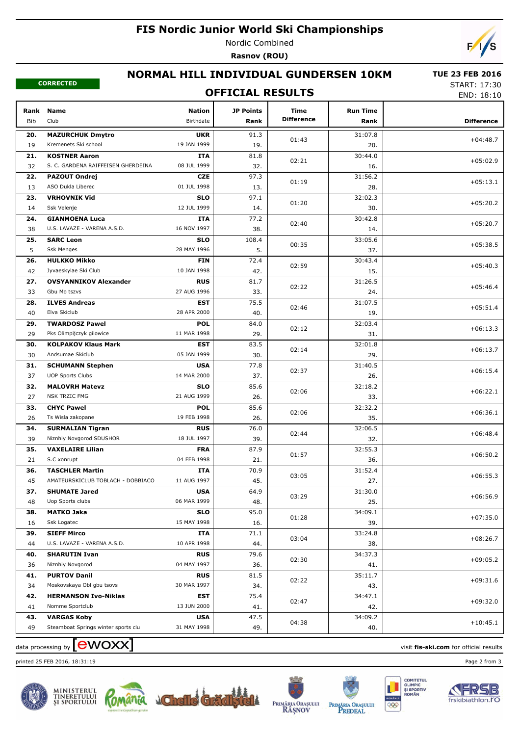## **FIS Nordic Junior World Ski Championships**

Nordic Combined **Rasnov (ROU)**

 $\sqrt{2}$ 

#### **CORRECTED**

# **NORMAL HILL INDIVIDUAL GUNDERSEN 10KM**

#### **TUE 23 FEB 2016**

**OFFICIAL RESULTS**

START: 17:30 END: 18:10

| Rank<br><b>Bib</b> | <b>Name</b><br>Club                 | <b>Nation</b><br>Birthdate | <b>JP Points</b><br>Rank | <b>Time</b><br><b>Difference</b> | <b>Run Time</b><br>Rank | <b>Difference</b> |
|--------------------|-------------------------------------|----------------------------|--------------------------|----------------------------------|-------------------------|-------------------|
| 20.                | <b>MAZURCHUK Dmytro</b>             | <b>UKR</b>                 | 91.3                     |                                  | 31:07.8                 |                   |
| 19                 | Kremenets Ski school                | 19 JAN 1999                | 19.                      | 01:43                            | 20.                     | $+04:48.7$        |
| 21.                | <b>KOSTNER Aaron</b>                | ITA                        | 81.8                     |                                  | 30:44.0                 |                   |
| 32                 | S. C. GARDENA RAIFFEISEN GHERDEINA  | 08 JUL 1999                | 32.                      | 02:21                            | 16.                     | $+05:02.9$        |
| 22.                | <b>PAZOUT Ondrej</b>                | CZE                        | 97.3                     |                                  | 31:56.2                 |                   |
| 13                 | ASO Dukla Liberec                   | 01 JUL 1998                | 13.                      | 01:19                            | 28.                     | $+05:13.1$        |
| 23.                | <b>VRHOVNIK Vid</b>                 | <b>SLO</b>                 | 97.1                     |                                  | 32:02.3                 |                   |
| 14                 | Ssk Velenje                         | 12 JUL 1999                | 14.                      | 01:20                            | 30.                     | $+05:20.2$        |
| 24.                | <b>GIANMOENA Luca</b>               | ITA                        | 77.2                     |                                  | 30:42.8                 | $+05:20.7$        |
| 38                 | U.S. LAVAZE - VARENA A.S.D.         | 16 NOV 1997                | 38.                      | 02:40                            | 14.                     |                   |
| 25.                | <b>SARC Leon</b>                    | <b>SLO</b>                 | 108.4                    | 00:35                            | 33:05.6                 | $+05:38.5$        |
| 5                  | <b>Ssk Menges</b>                   | 28 MAY 1996                | 5.                       |                                  | 37.                     |                   |
| 26.                | <b>HULKKO Mikko</b>                 | <b>FIN</b>                 | 72.4                     | 02:59                            | 30:43.4                 | $+05:40.3$        |
| 42                 | Jyvaeskylae Ski Club                | 10 JAN 1998                | 42.                      |                                  | 15.                     |                   |
| 27.                | <b>OVSYANNIKOV Alexander</b>        | <b>RUS</b>                 | 81.7                     | 02:22                            | 31:26.5                 | $+05:46.4$        |
| 33                 | Gbu Mo tszvs                        | 27 AUG 1996                | 33.                      |                                  | 24.                     |                   |
| 28.                | <b>ILVES Andreas</b>                | EST                        | 75.5                     | 02:46                            | 31:07.5                 | $+05:51.4$        |
| 40                 | Elva Skiclub                        | 28 APR 2000                | 40.                      |                                  | 19.                     |                   |
| 29.                | <b>TWARDOSZ Pawel</b>               | <b>POL</b>                 | 84.0                     | 02:12                            | 32:03.4                 | $+06:13.3$        |
| 29                 | Pks Olimpijczyk gilowice            | 11 MAR 1998                | 29.                      |                                  | 31.                     |                   |
| 30.                | <b>KOLPAKOV Klaus Mark</b>          | EST                        | 83.5                     | 02:14                            | 32:01.8                 | $+06:13.7$        |
| 30                 | Andsumae Skiclub                    | 05 JAN 1999                | 30.                      |                                  | 29.                     |                   |
| 31.                | <b>SCHUMANN Stephen</b>             | <b>USA</b>                 | 77.8                     | 02:37                            | 31:40.5                 | $+06:15.4$        |
| 37                 | <b>UOP Sports Clubs</b>             | 14 MAR 2000                | 37.                      |                                  | 26.                     |                   |
| 32.                | <b>MALOVRH Matevz</b>               | <b>SLO</b>                 | 85.6                     | 02:06                            | 32:18.2                 | $+06:22.1$        |
| 27                 | NSK TRZIC FMG                       | 21 AUG 1999                | 26.                      |                                  | 33.                     |                   |
| 33.                | <b>CHYC Pawel</b>                   | <b>POL</b>                 | 85.6                     | 02:06                            | 32:32.2                 | $+06:36.1$        |
| 26                 | Ts Wisla zakopane                   | 19 FEB 1998                | 26.                      |                                  | 35.                     |                   |
| 34.                | <b>SURMALIAN Tigran</b>             | <b>RUS</b>                 | 76.0                     | 02:44                            | 32:06.5                 | $+06:48.4$        |
| 39                 | Niznhiy Novgorod SDUSHOR            | 18 JUL 1997                | 39.                      |                                  | 32.                     |                   |
| 35.                | <b>VAXELAIRE Lilian</b>             | <b>FRA</b>                 | 87.9                     | 01:57                            | 32:55.3                 | $+06:50.2$        |
| 21                 | S.C xonrupt                         | 04 FEB 1998                | 21.                      |                                  | 36.                     |                   |
| 36.                | <b>TASCHLER Martin</b>              | <b>ITA</b>                 | 70.9                     | 03:05                            | 31:52.4                 | $+06:55.3$        |
| 45                 | AMATEURSKICLUB TOBLACH - DOBBIACO   | 11 AUG 1997                | 45.                      |                                  | 27.                     |                   |
| 37.                | <b>SHUMATE Jared</b>                | <b>USA</b>                 | 64.9                     | 03:29                            | 31:30.0                 | $+06:56.9$        |
| 48                 | Uop Sports clubs                    | 06 MAR 1999                | 48.                      |                                  | 25.                     |                   |
| 38.                | MATKO Jaka                          | <b>SLO</b>                 | 95.0                     | 01:28                            | 34:09.1                 | $+07:35.0$        |
| 16                 | Ssk Logatec                         | 15 MAY 1998                | 16.                      |                                  | 39.                     |                   |
| 39.                | <b>SIEFF Mirco</b>                  | ITA                        | 71.1                     | 03:04                            | 33:24.8                 | $+08:26.7$        |
| 44                 | U.S. LAVAZE - VARENA A.S.D.         | 10 APR 1998                | 44.                      |                                  | 38.                     |                   |
| 40.                | <b>SHARUTIN Ivan</b>                | <b>RUS</b>                 | 79.6                     | 02:30                            | 34:37.3                 | $+09:05.2$        |
| 36                 | Niznhiy Novgorod                    | 04 MAY 1997                | 36.                      |                                  | 41.                     |                   |
| 41.                | <b>PURTOV Danil</b>                 | <b>RUS</b>                 | 81.5                     | 02:22                            | 35:11.7                 | $+09:31.6$        |
| 34                 | Moskovskaya Obl gbu tsovs           | 30 MAR 1997                | 34.                      |                                  | 43.                     |                   |
| 42.                | <b>HERMANSON Ivo-Niklas</b>         | EST                        | 75.4                     | 02:47                            | 34:47.1                 | $+09:32.0$        |
| 41                 | Nomme Sportclub                     | 13 JUN 2000                | 41.                      |                                  | 42.                     |                   |
| 43.                | <b>VARGAS Koby</b>                  | <b>USA</b>                 | 47.5                     | 04:38                            | 34:09.2                 | $+10:45.1$        |
| 49                 | Steamboat Springs winter sports clu | 31 MAY 1998                | 49.                      |                                  | 40.                     |                   |

 $\alpha$  data processing by  $\boxed{\text{ewOX}}$ 

printed 25 FEB 2016, 18:31:19 Page 2 from 3